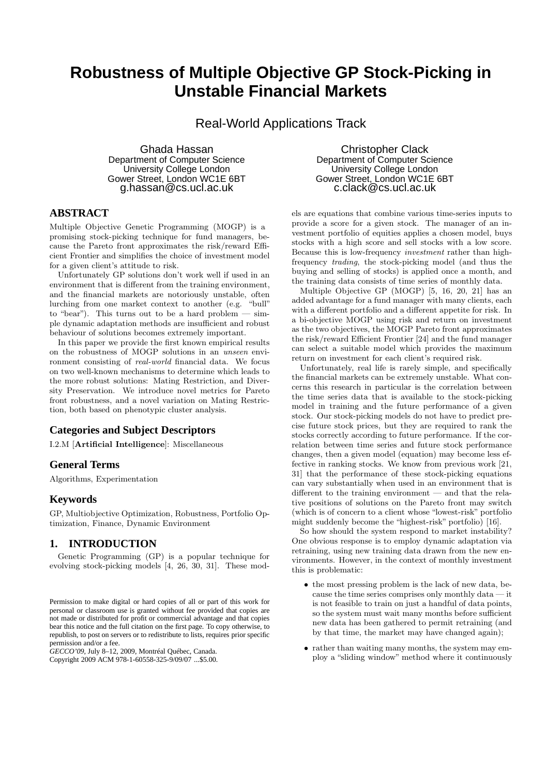# **Robustness of Multiple Objective GP Stock-Picking in Unstable Financial Markets**

Real-World Applications Track

Ghada Hassan Department of Computer Science University College London Gower Street, London WC1E 6BT g.hassan@cs.ucl.ac.uk

# **ABSTRACT**

Multiple Objective Genetic Programming (MOGP) is a promising stock-picking technique for fund managers, because the Pareto front approximates the risk/reward Efficient Frontier and simplifies the choice of investment model for a given client's attitude to risk.

Unfortunately GP solutions don't work well if used in an environment that is different from the training environment, and the financial markets are notoriously unstable, often lurching from one market context to another (e.g. "bull" to "bear"). This turns out to be a hard problem — simple dynamic adaptation methods are insufficient and robust behaviour of solutions becomes extremely important.

In this paper we provide the first known empirical results on the robustness of MOGP solutions in an unseen environment consisting of real-world financial data. We focus on two well-known mechanisms to determine which leads to the more robust solutions: Mating Restriction, and Diversity Preservation. We introduce novel metrics for Pareto front robustness, and a novel variation on Mating Restriction, both based on phenotypic cluster analysis.

# **Categories and Subject Descriptors**

I.2.M [Artificial Intelligence]: Miscellaneous

# **General Terms**

Algorithms, Experimentation

# **Keywords**

GP, Multiobjective Optimization, Robustness, Portfolio Optimization, Finance, Dynamic Environment

# **1. INTRODUCTION**

Genetic Programming (GP) is a popular technique for evolving stock-picking models [4, 26, 30, 31]. These mod-

*GECCO'09,* July 8–12, 2009, Montréal Québec, Canada.

Copyright 2009 ACM 978-1-60558-325-9/09/07 ...\$5.00.

Christopher Clack Department of Computer Science University College London Gower Street, London WC1E 6BT c.clack@cs.ucl.ac.uk

els are equations that combine various time-series inputs to provide a score for a given stock. The manager of an investment portfolio of equities applies a chosen model, buys stocks with a high score and sell stocks with a low score. Because this is low-frequency investment rather than highfrequency trading, the stock-picking model (and thus the buying and selling of stocks) is applied once a month, and the training data consists of time series of monthly data.

Multiple Objective GP (MOGP) [5, 16, 20, 21] has an added advantage for a fund manager with many clients, each with a different portfolio and a different appetite for risk. In a bi-objective MOGP using risk and return on investment as the two objectives, the MOGP Pareto front approximates the risk/reward Efficient Frontier [24] and the fund manager can select a suitable model which provides the maximum return on investment for each client's required risk.

Unfortunately, real life is rarely simple, and specifically the financial markets can be extremely unstable. What concerns this research in particular is the correlation between the time series data that is available to the stock-picking model in training and the future performance of a given stock. Our stock-picking models do not have to predict precise future stock prices, but they are required to rank the stocks correctly according to future performance. If the correlation between time series and future stock performance changes, then a given model (equation) may become less effective in ranking stocks. We know from previous work [21, 31] that the performance of these stock-picking equations can vary substantially when used in an environment that is different to the training environment — and that the relative positions of solutions on the Pareto front may switch (which is of concern to a client whose "lowest-risk" portfolio might suddenly become the "highest-risk" portfolio) [16].

So how should the system respond to market instability? One obvious response is to employ dynamic adaptation via retraining, using new training data drawn from the new environments. However, in the context of monthly investment this is problematic:

- the most pressing problem is the lack of new data, because the time series comprises only monthly data — it is not feasible to train on just a handful of data points, so the system must wait many months before sufficient new data has been gathered to permit retraining (and by that time, the market may have changed again);
- rather than waiting many months, the system may employ a "sliding window" method where it continuously

Permission to make digital or hard copies of all or part of this work for personal or classroom use is granted without fee provided that copies are not made or distributed for profit or commercial advantage and that copies bear this notice and the full citation on the first page. To copy otherwise, to republish, to post on servers or to redistribute to lists, requires prior specific permission and/or a fee.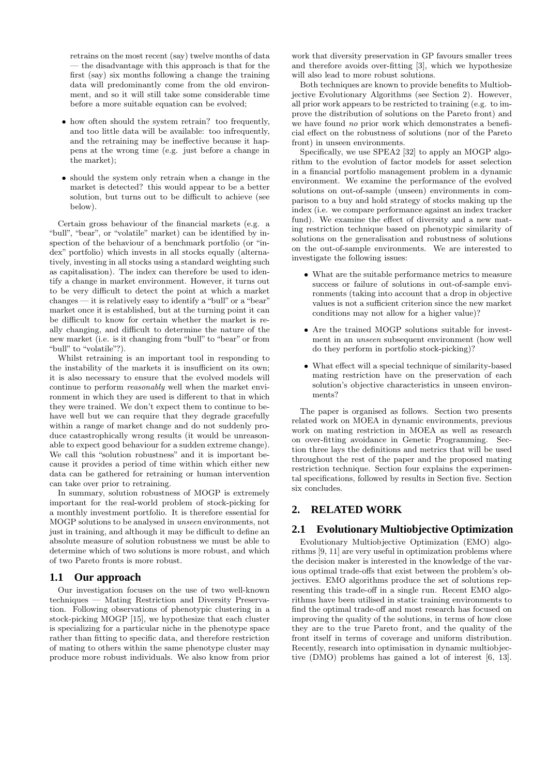retrains on the most recent (say) twelve months of data — the disadvantage with this approach is that for the first (say) six months following a change the training data will predominantly come from the old environment, and so it will still take some considerable time before a more suitable equation can be evolved;

- how often should the system retrain? too frequently, and too little data will be available: too infrequently, and the retraining may be ineffective because it happens at the wrong time (e.g. just before a change in the market);
- should the system only retrain when a change in the market is detected? this would appear to be a better solution, but turns out to be difficult to achieve (see below).

Certain gross behaviour of the financial markets (e.g. a "bull", "bear", or "volatile" market) can be identified by inspection of the behaviour of a benchmark portfolio (or "index" portfolio) which invests in all stocks equally (alternatively, investing in all stocks using a standard weighting such as capitalisation). The index can therefore be used to identify a change in market environment. However, it turns out to be very difficult to detect the point at which a market changes — it is relatively easy to identify a "bull" or a "bear" market once it is established, but at the turning point it can be difficult to know for certain whether the market is really changing, and difficult to determine the nature of the new market (i.e. is it changing from "bull" to "bear" or from "bull" to "volatile"?).

Whilst retraining is an important tool in responding to the instability of the markets it is insufficient on its own; it is also necessary to ensure that the evolved models will continue to perform reasonably well when the market environment in which they are used is different to that in which they were trained. We don't expect them to continue to behave well but we can require that they degrade gracefully within a range of market change and do not suddenly produce catastrophically wrong results (it would be unreasonable to expect good behaviour for a sudden extreme change). We call this "solution robustness" and it is important because it provides a period of time within which either new data can be gathered for retraining or human intervention can take over prior to retraining.

In summary, solution robustness of MOGP is extremely important for the real-world problem of stock-picking for a monthly investment portfolio. It is therefore essential for MOGP solutions to be analysed in unseen environments, not just in training, and although it may be difficult to define an absolute measure of solution robustness we must be able to determine which of two solutions is more robust, and which of two Pareto fronts is more robust.

# **1.1 Our approach**

Our investigation focuses on the use of two well-known techniques — Mating Restriction and Diversity Preservation. Following observations of phenotypic clustering in a stock-picking MOGP [15], we hypothesize that each cluster is specializing for a particular niche in the phenotype space rather than fitting to specific data, and therefore restriction of mating to others within the same phenotype cluster may produce more robust individuals. We also know from prior

work that diversity preservation in GP favours smaller trees and therefore avoids over-fitting [3], which we hypothesize will also lead to more robust solutions.

Both techniques are known to provide benefits to Multiobjective Evolutionary Algorithms (see Section 2). However, all prior work appears to be restricted to training (e.g. to improve the distribution of solutions on the Pareto front) and we have found no prior work which demonstrates a beneficial effect on the robustness of solutions (nor of the Pareto front) in unseen environments.

Specifically, we use SPEA2 [32] to apply an MOGP algorithm to the evolution of factor models for asset selection in a financial portfolio management problem in a dynamic environment. We examine the performance of the evolved solutions on out-of-sample (unseen) environments in comparison to a buy and hold strategy of stocks making up the index (i.e. we compare performance against an index tracker fund). We examine the effect of diversity and a new mating restriction technique based on phenotypic similarity of solutions on the generalisation and robustness of solutions on the out-of-sample environments. We are interested to investigate the following issues:

- What are the suitable performance metrics to measure success or failure of solutions in out-of-sample environments (taking into account that a drop in objective values is not a sufficient criterion since the new market conditions may not allow for a higher value)?
- Are the trained MOGP solutions suitable for investment in an unseen subsequent environment (how well do they perform in portfolio stock-picking)?
- What effect will a special technique of similarity-based mating restriction have on the preservation of each solution's objective characteristics in unseen environments?

The paper is organised as follows. Section two presents related work on MOEA in dynamic environments, previous work on mating restriction in MOEA as well as research on over-fitting avoidance in Genetic Programming. Section three lays the definitions and metrics that will be used throughout the rest of the paper and the proposed mating restriction technique. Section four explains the experimental specifications, followed by results in Section five. Section six concludes.

# **2. RELATED WORK**

# **2.1 Evolutionary Multiobjective Optimization**

Evolutionary Multiobjective Optimization (EMO) algorithms [9, 11] are very useful in optimization problems where the decision maker is interested in the knowledge of the various optimal trade-offs that exist between the problem's objectives. EMO algorithms produce the set of solutions representing this trade-off in a single run. Recent EMO algorithms have been utilised in static training environments to find the optimal trade-off and most research has focused on improving the quality of the solutions, in terms of how close they are to the true Pareto front, and the quality of the front itself in terms of coverage and uniform distribution. Recently, research into optimisation in dynamic multiobjective (DMO) problems has gained a lot of interest [6, 13].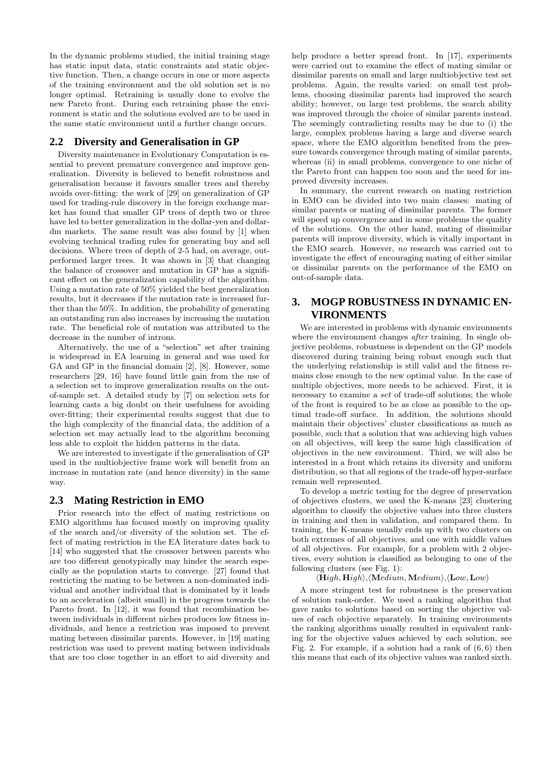In the dynamic problems studied, the initial training stage has static input data, static constraints and static objective function. Then, a change occurs in one or more aspects of the training environment and the old solution set is no longer optimal. Retraining is usually done to evolve the new Pareto front. During each retraining phase the environment is static and the solutions evolved are to be used in the same static environment until a further change occurs.

# **2.2 Diversity and Generalisation in GP**

Diversity maintenance in Evolutionary Computation is essential to prevent premature convergence and improve generalization. Diversity is believed to benefit robustness and generalisation because it favours smaller trees and thereby avoids over-fitting: the work of [29] on generalization of GP used for trading-rule discovery in the foreign exchange market has found that smaller GP trees of depth two or three have led to better generalization in the dollar-yen and dollardm markets. The same result was also found by [1] when evolving technical trading rules for generating buy and sell decisions. Where trees of depth of 2-5 had, on average, outperformed larger trees. It was shown in [3] that changing the balance of crossover and mutation in GP has a significant effect on the generalization capability of the algorithm. Using a mutation rate of 50% yielded the best generalization results, but it decreases if the mutation rate is increased further than the 50%. In addition, the probability of generating an outstanding run also increases by increasing the mutation rate. The beneficial role of mutation was attributed to the decrease in the number of introns.

Alternatively, the use of a "selection" set after training is widespread in EA learning in general and was used for GA and GP in the financial domain [2], [8]. However, some researchers [29, 16] have found little gain from the use of a selection set to improve generalization results on the outof-sample set. A detailed study by [7] on selection sets for learning casts a big doubt on their usefulness for avoiding over-fitting; their experimental results suggest that due to the high complexity of the financial data, the addition of a selection set may actually lead to the algorithm becoming less able to exploit the hidden patterns in the data.

We are interested to investigate if the generalisation of GP used in the multiobjective frame work will benefit from an increase in mutation rate (and hence diversity) in the same way.

### **2.3 Mating Restriction in EMO**

Prior research into the effect of mating restrictions on EMO algorithms has focused mostly on improving quality of the search and/or diversity of the solution set. The effect of mating restriction in the EA literature dates back to [14] who suggested that the crossover between parents who are too different genotypically may hinder the search especially as the population starts to converge. [27] found that restricting the mating to be between a non-dominated individual and another individual that is dominated by it leads to an acceleration (albeit small) in the progress towards the Pareto front. In [12], it was found that recombination between individuals in different niches produces low fitness individuals, and hence a restriction was imposed to prevent mating between dissimilar parents. However, in [19] mating restriction was used to prevent mating between individuals that are too close together in an effort to aid diversity and help produce a better spread front. In [17], experiments were carried out to examine the effect of mating similar or dissimilar parents on small and large multiobjective test set problems. Again, the results varied: on small test problems, choosing dissimilar parents had improved the search ability; however, on large test problems, the search ability was improved through the choice of similar parents instead. The seemingly contradicting results may be due to (i) the large, complex problems having a large and diverse search space, where the EMO algorithm benefited from the pressure towards convergence through mating of similar parents, whereas (ii) in small problems, convergence to one niche of the Pareto front can happen too soon and the need for improved diversity increases.

In summary, the current research on mating restriction in EMO can be divided into two main classes: mating of similar parents or mating of dissimilar parents. The former will speed up convergence and in some problems the quality of the solutions. On the other hand, mating of dissimilar parents will improve diversity, which is vitally important in the EMO search. However, no research was carried out to investigate the effect of encouraging mating of either similar or dissimilar parents on the performance of the EMO on out-of-sample data.

# **3. MOGP ROBUSTNESS IN DYNAMIC EN-VIRONMENTS**

We are interested in problems with dynamic environments where the environment changes *after* training. In single objective problems, robustness is dependent on the GP models discovered during training being robust enough such that the underlying relationship is still valid and the fitness remains close enough to the new optimal value. In the case of multiple objectives, more needs to be achieved. First, it is necessary to examine a set of trade-off solutions; the whole of the front is required to be as close as possible to the optimal trade-off surface. In addition, the solutions should maintain their objectives' cluster classifications as much as possible, such that a solution that was achieving high values on all objectives, will keep the same high classification of objectives in the new environment. Third, we will also be interested in a front which retains its diversity and uniform distribution, so that all regions of the trade-off hyper-surface remain well represented.

To develop a metric testing for the degree of preservation of objectives clusters, we used the K-means [23] clustering algorithm to classify the objective values into three clusters in training and then in validation, and compared them. In training, the K-means usually ends up with two clusters on both extremes of all objectives, and one with middle values of all objectives. For example, for a problem with 2 objectives, every solution is classified as belonging to one of the following clusters (see Fig. 1):

 $\langle$ High, High $\rangle$ ,  $\langle$ Medium, Medium $\rangle$ ,  $\langle$ Low, Low $\rangle$ 

A more stringent test for robustness is the preservation of solution rank-order. We used a ranking algorithm that gave ranks to solutions based on sorting the objective values of each objective separately. In training environments the ranking algorithms usually resulted in equivalent ranking for the objective values achieved by each solution, see Fig. 2. For example, if a solution had a rank of  $(6, 6)$  then this means that each of its objective values was ranked sixth.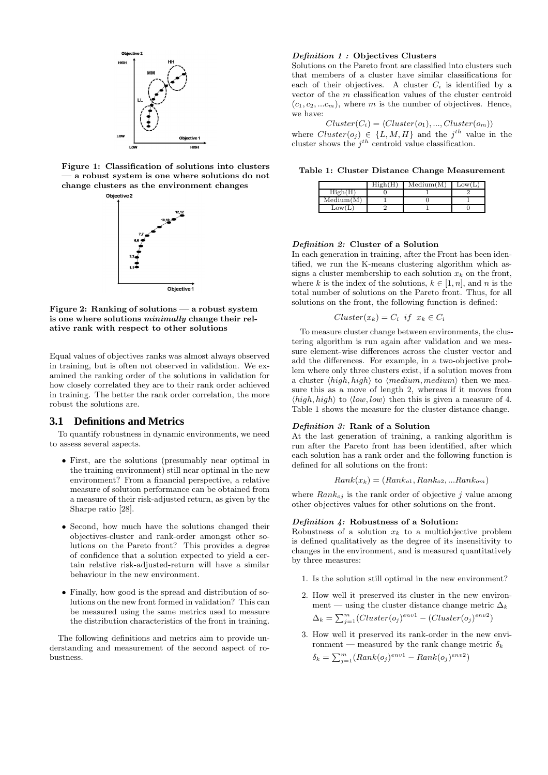

Figure 1: Classification of solutions into clusters — a robust system is one where solutions do not change clusters as the environment changes



Figure 2: Ranking of solutions — a robust system is one where solutions minimally change their relative rank with respect to other solutions

Equal values of objectives ranks was almost always observed in training, but is often not observed in validation. We examined the ranking order of the solutions in validation for how closely correlated they are to their rank order achieved in training. The better the rank order correlation, the more robust the solutions are.

# **3.1 Definitions and Metrics**

To quantify robustness in dynamic environments, we need to assess several aspects.

- First, are the solutions (presumably near optimal in the training environment) still near optimal in the new environment? From a financial perspective, a relative measure of solution performance can be obtained from a measure of their risk-adjusted return, as given by the Sharpe ratio [28].
- Second, how much have the solutions changed their objectives-cluster and rank-order amongst other solutions on the Pareto front? This provides a degree of confidence that a solution expected to yield a certain relative risk-adjusted-return will have a similar behaviour in the new environment.
- Finally, how good is the spread and distribution of solutions on the new front formed in validation? This can be measured using the same metrics used to measure the distribution characteristics of the front in training.

The following definitions and metrics aim to provide understanding and measurement of the second aspect of robustness.

#### Definition 1 : Objectives Clusters

Solutions on the Pareto front are classified into clusters such that members of a cluster have similar classifications for each of their objectives. A cluster  $C_i$  is identified by a vector of the m classification values of the cluster centroid  $(c_1, c_2, ... c_m)$ , where m is the number of objectives. Hence, we have:

$$
Cluster(C_i) = \langle Cluster(o_1), ..., Cluster(o_m) \rangle
$$

where  $Cluster(o_j) \in \{L, M, H\}$  and the  $j^{th}$  value in the cluster shows the  $j^{th}$  centroid value classification.

Table 1: Cluster Distance Change Measurement

|           | High(H | Median(M) | Low( L |
|-----------|--------|-----------|--------|
| High(H)   |        |           |        |
| Median(M) |        |           |        |
| Low(      |        |           |        |

#### Definition 2: Cluster of a Solution

In each generation in training, after the Front has been identified, we run the K-means clustering algorithm which assigns a cluster membership to each solution  $x_k$  on the front, where k is the index of the solutions,  $k \in [1, n]$ , and n is the total number of solutions on the Pareto front. Thus, for all solutions on the front, the following function is defined:

$$
Cluster(x_k) = C_i \text{ if } x_k \in C_i
$$

To measure cluster change between environments, the clustering algorithm is run again after validation and we measure element-wise differences across the cluster vector and add the differences. For example, in a two-objective problem where only three clusters exist, if a solution moves from a cluster  $\langle high, high \rangle$  to  $\langle medium, medium \rangle$  then we measure this as a move of length 2, whereas if it moves from  $\langle high, high \rangle$  to  $\langle low, low \rangle$  then this is given a measure of 4. Table 1 shows the measure for the cluster distance change.

### Definition 3: Rank of a Solution

At the last generation of training, a ranking algorithm is run after the Pareto front has been identified, after which each solution has a rank order and the following function is defined for all solutions on the front:

$$
Rank(x_k) = (Rank_{o1}, Rank_{o2},...Rank_{om})
$$

where  $Rank_{oj}$  is the rank order of objective j value among other objectives values for other solutions on the front.

#### Definition 4: Robustness of a Solution:

Robustness of a solution  $x_k$  to a multiobjective problem is defined qualitatively as the degree of its insensitivity to changes in the environment, and is measured quantitatively by three measures:

- 1. Is the solution still optimal in the new environment?
- 2. How well it preserved its cluster in the new environment — using the cluster distance change metric  $\Delta_k$  $\Delta_k = \sum_{j=1}^m (Cluster(o_j)^{env1} - (Cluster(o_j)^{env2})$
- 3. How well it preserved its rank-order in the new environment — measured by the rank change metric  $\delta_k$

$$
\delta_k = \sum_{j=1}^m (Rank(o_j)^{env1} - Rank(o_j)^{env2})
$$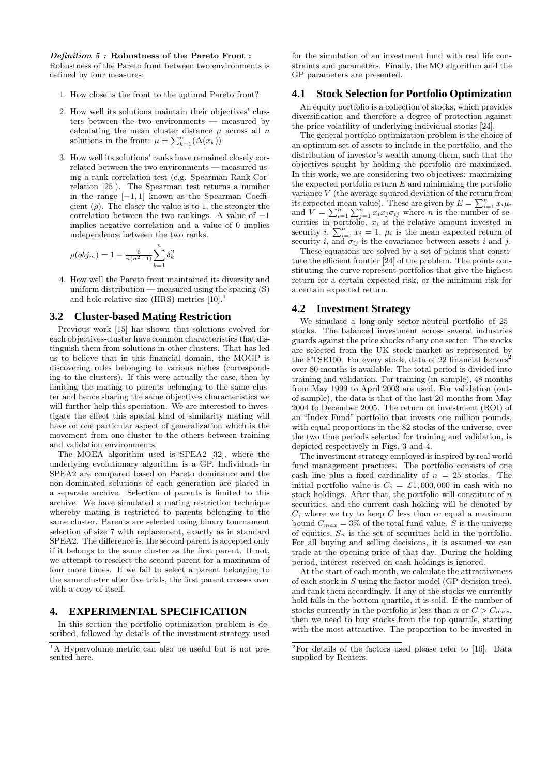#### Definition 5 : Robustness of the Pareto Front :

Robustness of the Pareto front between two environments is defined by four measures:

- 1. How close is the front to the optimal Pareto front?
- 2. How well its solutions maintain their objectives' clusters between the two environments — measured by calculating the mean cluster distance  $\mu$  across all n solutions in the front:  $\mu = \sum_{k=1}^{n} (\Delta(x_k))$
- 3. How well its solutions' ranks have remained closely correlated between the two environments — measured using a rank correlation test (e.g. Spearman Rank Correlation [25]). The Spearman test returns a number in the range  $[-1, 1]$  known as the Spearman Coefficient  $(\rho)$ . The closer the value is to 1, the stronger the correlation between the two rankings. A value of  $-1$ implies negative correlation and a value of 0 implies independence between the two ranks.

$$
\rho(obj_m) = 1 - \frac{6}{n(n^2 - 1)} \sum_{k=1}^{n} \delta_k^2
$$

4. How well the Pareto front maintained its diversity and uniform distribution — measured using the spacing  $(S)$ and hole-relative-size (HRS) metrics  $[10]$ <sup>1</sup>

### **3.2 Cluster-based Mating Restriction**

Previous work [15] has shown that solutions evolved for each objectives-cluster have common characteristics that distinguish them from solutions in other clusters. That has led us to believe that in this financial domain, the MOGP is discovering rules belonging to various niches (corresponding to the clusters). If this were actually the case, then by limiting the mating to parents belonging to the same cluster and hence sharing the same objectives characteristics we will further help this speciation. We are interested to investigate the effect this special kind of similarity mating will have on one particular aspect of generalization which is the movement from one cluster to the others between training and validation environments.

The MOEA algorithm used is SPEA2 [32], where the underlying evolutionary algorithm is a GP. Individuals in SPEA2 are compared based on Pareto dominance and the non-dominated solutions of each generation are placed in a separate archive. Selection of parents is limited to this archive. We have simulated a mating restriction technique whereby mating is restricted to parents belonging to the same cluster. Parents are selected using binary tournament selection of size 7 with replacement, exactly as in standard SPEA2. The difference is, the second parent is accepted only if it belongs to the same cluster as the first parent. If not, we attempt to reselect the second parent for a maximum of four more times. If we fail to select a parent belonging to the same cluster after five trials, the first parent crosses over with a copy of itself.

# **4. EXPERIMENTAL SPECIFICATION**

In this section the portfolio optimization problem is described, followed by details of the investment strategy used

for the simulation of an investment fund with real life constraints and parameters. Finally, the MO algorithm and the GP parameters are presented.

# **4.1 Stock Selection for Portfolio Optimization**

An equity portfolio is a collection of stocks, which provides diversification and therefore a degree of protection against the price volatility of underlying individual stocks [24].

The general portfolio optimization problem is the choice of an optimum set of assets to include in the portfolio, and the distribution of investor's wealth among them, such that the objectives sought by holding the portfolio are maximized. In this work, we are considering two objectives: maximizing the expected portfolio return  $E$  and minimizing the portfolio variance V (the average squared deviation of the return from its expected mean value). These are given by  $E = \sum_{i=1}^n x_i \mu_i$ and  $\bar{V} = \sum_{i=1}^{n} \sum_{j=1}^{n} x_i x_j \sigma_{ij}$  where *n* is the number of securities in portfolio,  $x_i$  is the relative amount invested in security i,  $\sum_{i=1}^{n} x_i = 1$ ,  $\mu_i$  is the mean expected return of security i, and  $\sigma_{ij}$  is the covariance between assets i and j.

These equations are solved by a set of points that constitute the efficient frontier [24] of the problem. The points constituting the curve represent portfolios that give the highest return for a certain expected risk, or the minimum risk for a certain expected return.

#### **4.2 Investment Strategy**

We simulate a long-only sector-neutral portfolio of 25 stocks. The balanced investment across several industries guards against the price shocks of any one sector. The stocks are selected from the UK stock market as represented by the FTSE100. For every stock, data of 22 financial factors<sup>2</sup> over 80 months is available. The total period is divided into training and validation. For training (in-sample), 48 months from May 1999 to April 2003 are used. For validation (outof-sample), the data is that of the last 20 months from May 2004 to December 2005. The return on investment (ROI) of an "Index Fund" portfolio that invests one million pounds, with equal proportions in the 82 stocks of the universe, over the two time periods selected for training and validation, is depicted respectively in Figs. 3 and 4.

The investment strategy employed is inspired by real world fund management practices. The portfolio consists of one cash line plus a fixed cardinality of  $n = 25$  stocks. The initial portfolio value is  $C<sub>o</sub> = \pounds 1,000,000$  in cash with no stock holdings. After that, the portfolio will constitute of  $n$ securities, and the current cash holding will be denoted by  $C$ , where we try to keep  $C$  less than or equal a maximum bound  $C_{max} = 3\%$  of the total fund value. S is the universe of equities,  $S_n$  is the set of securities held in the portfolio. For all buying and selling decisions, it is assumed we can trade at the opening price of that day. During the holding period, interest received on cash holdings is ignored.

At the start of each month, we calculate the attractiveness of each stock in  $S$  using the factor model (GP decision tree), and rank them accordingly. If any of the stocks we currently hold falls in the bottom quartile, it is sold. If the number of stocks currently in the portfolio is less than n or  $C > C_{max}$ , then we need to buy stocks from the top quartile, starting with the most attractive. The proportion to be invested in

<sup>&</sup>lt;sup>1</sup>A Hypervolume metric can also be useful but is not presented here.

<sup>&</sup>lt;sup>2</sup>For details of the factors used please refer to  $[16]$ . Data supplied by Reuters.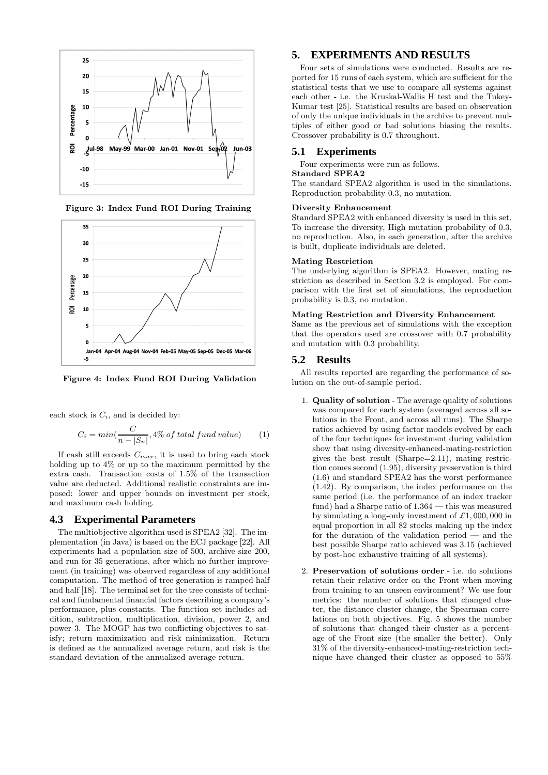



Figure 3: Index Fund ROI During Training

Figure 4: Index Fund ROI During Validation

each stock is  $C_i$ , and is decided by:

$$
C_i = min\left(\frac{C}{n - |S_n|}, 4\% \text{ of total fund value}\right) \tag{1}
$$

If cash still exceeds  $C_{max}$ , it is used to bring each stock holding up to 4% or up to the maximum permitted by the extra cash. Transaction costs of 1.5% of the transaction value are deducted. Additional realistic constraints are imposed: lower and upper bounds on investment per stock, and maximum cash holding.

### **4.3 Experimental Parameters**

The multiobjective algorithm used is SPEA2 [32]. The implementation (in Java) is based on the ECJ package [22]. All experiments had a population size of 500, archive size 200, and run for 35 generations, after which no further improvement (in training) was observed regardless of any additional computation. The method of tree generation is ramped half and half [18]. The terminal set for the tree consists of technical and fundamental financial factors describing a company's performance, plus constants. The function set includes addition, subtraction, multiplication, division, power 2, and power 3. The MOGP has two conflicting objectives to satisfy; return maximization and risk minimization. Return is defined as the annualized average return, and risk is the standard deviation of the annualized average return.

# **5. EXPERIMENTS AND RESULTS**

Four sets of simulations were conducted. Results are reported for 15 runs of each system, which are sufficient for the statistical tests that we use to compare all systems against each other - i.e. the Kruskal-Wallis H test and the Tukey-Kumar test [25]. Statistical results are based on observation of only the unique individuals in the archive to prevent multiples of either good or bad solutions biasing the results. Crossover probability is 0.7 throughout.

### **5.1 Experiments**

Four experiments were run as follows.

### Standard SPEA2

The standard SPEA2 algorithm is used in the simulations. Reproduction probability 0.3, no mutation.

#### Diversity Enhancement

Standard SPEA2 with enhanced diversity is used in this set. To increase the diversity, High mutation probability of 0.3, no reproduction. Also, in each generation, after the archive is built, duplicate individuals are deleted.

#### Mating Restriction

The underlying algorithm is SPEA2. However, mating restriction as described in Section 3.2 is employed. For comparison with the first set of simulations, the reproduction probability is 0.3, no mutation.

#### Mating Restriction and Diversity Enhancement

Same as the previous set of simulations with the exception that the operators used are crossover with 0.7 probability and mutation with 0.3 probability.

# **5.2 Results**

All results reported are regarding the performance of solution on the out-of-sample period.

- 1. Quality of solution The average quality of solutions was compared for each system (averaged across all solutions in the Front, and across all runs). The Sharpe ratios achieved by using factor models evolved by each of the four techniques for investment during validation show that using diversity-enhanced-mating-restriction gives the best result (Sharpe=2.11), mating restriction comes second (1.95), diversity preservation is third (1.6) and standard SPEA2 has the worst performance (1.42). By comparison, the index performance on the same period (i.e. the performance of an index tracker fund) had a Sharpe ratio of 1.364 — this was measured by simulating a long-only investment of  $\pounds 1,000,000$  in equal proportion in all 82 stocks making up the index for the duration of the validation period — and the best possible Sharpe ratio achieved was 3.15 (achieved by post-hoc exhaustive training of all systems).
- 2. Preservation of solutions order i.e. do solutions retain their relative order on the Front when moving from training to an unseen environment? We use four metrics: the number of solutions that changed cluster, the distance cluster change, the Spearman correlations on both objectives. Fig. 5 shows the number of solutions that changed their cluster as a percentage of the Front size (the smaller the better). Only 31% of the diversity-enhanced-mating-restriction technique have changed their cluster as opposed to 55%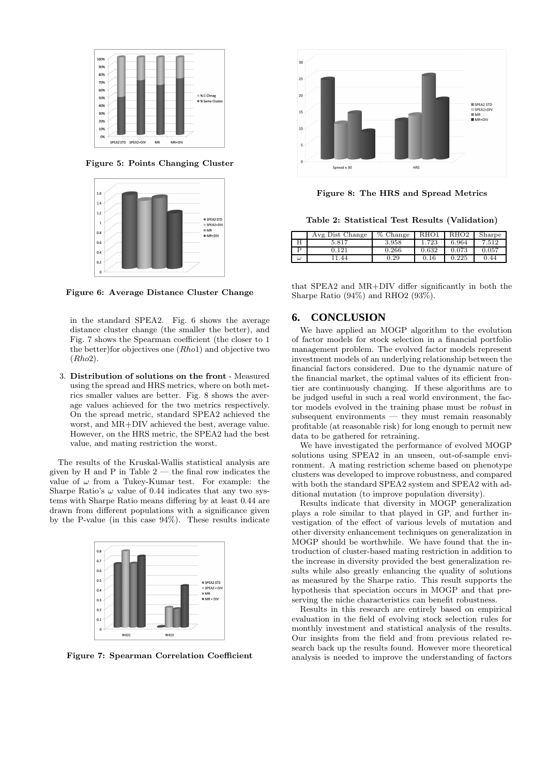

Figure 5: Points Changing Cluster



Figure 6: Average Distance Cluster Change

in the standard SPEA2. Fig. 6 shows the average distance cluster change (the smaller the better), and Fig. 7 shows the Spearman coefficient (the closer to 1 the better)for objectives one (Rho1) and objective two  $(Rho2).$ 

3. Distribution of solutions on the front - Measured using the spread and HRS metrics, where on both metrics smaller values are better. Fig. 8 shows the average values achieved for the two metrics respectively. On the spread metric, standard SPEA2 achieved the worst, and MR+DIV achieved the best, average value. However, on the HRS metric, the SPEA2 had the best value, and mating restriction the worst.

The results of the Kruskal-Wallis statistical analysis are given by H and P in Table  $2$  — the final row indicates the value of  $\omega$  from a Tukey-Kumar test. For example: the Sharpe Ratio's  $\omega$  value of 0.44 indicates that any two systems with Sharpe Ratio means differing by at least 0.44 are drawn from different populations with a significance given by the P-value (in this case 94%). These results indicate



Figure 7: Spearman Correlation Coefficient



Figure 8: The HRS and Spread Metrics

Table 2: Statistical Test Results (Validation)

|          | Avg Dist Change | % Change | RHO1  | RHO <sub>2</sub> | Sharpe    |
|----------|-----------------|----------|-------|------------------|-----------|
|          | 5.817           | 3.958    | 1.723 | 6.964            | $7.512\,$ |
|          | 0.121           | 0.266    | 0.632 | 0.073            | 0.057     |
| $\omega$ | 44              | 0.29     | 0.16  | 0.225            | 0.44      |

that SPEA2 and MR+DIV differ significantly in both the Sharpe Ratio (94%) and RHO2 (93%).

# **6. CONCLUSION**

We have applied an MOGP algorithm to the evolution of factor models for stock selection in a financial portfolio management problem. The evolved factor models represent investment models of an underlying relationship between the financial factors considered. Due to the dynamic nature of the financial market, the optimal values of its efficient frontier are continuously changing. If these algorithms are to be judged useful in such a real world environment, the factor models evolved in the training phase must be robust in subsequent environments — they must remain reasonably profitable (at reasonable risk) for long enough to permit new data to be gathered for retraining.

We have investigated the performance of evolved MOGP solutions using SPEA2 in an unseen, out-of-sample environment. A mating restriction scheme based on phenotype clusters was developed to improve robustness, and compared with both the standard SPEA2 system and SPEA2 with additional mutation (to improve population diversity).

Results indicate that diversity in MOGP generalization plays a role similar to that played in GP, and further investigation of the effect of various levels of mutation and other diversity enhancement techniques on generalization in MOGP should be worthwhile. We have found that the introduction of cluster-based mating restriction in addition to the increase in diversity provided the best generalization results while also greatly enhancing the quality of solutions as measured by the Sharpe ratio. This result supports the hypothesis that speciation occurs in MOGP and that preserving the niche characteristics can benefit robustness.

Results in this research are entirely based on empirical evaluation in the field of evolving stock selection rules for monthly investment and statistical analysis of the results. Our insights from the field and from previous related research back up the results found. However more theoretical analysis is needed to improve the understanding of factors